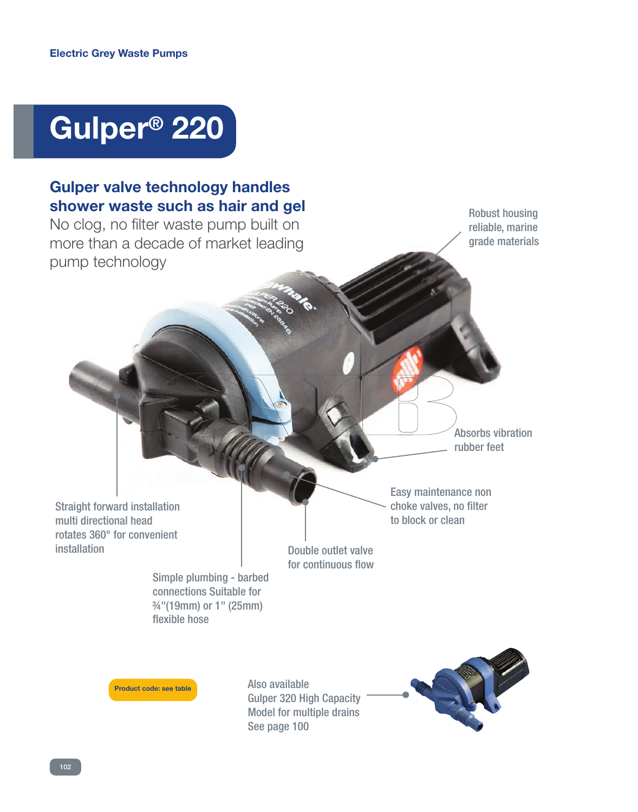# **Gulper® 220**

### **Gulper valve technology handles shower waste such as hair and gel**

No clog, no filter waste pump built on more than a decade of market leading pump technology

Robust housing reliable, marine grade materials

Absorbs vibration rubber feet

Straight forward installation multi directional head rotates 360° for convenient installation

Double outlet valve for continuous flow

Simple plumbing - barbed connections Suitable for ¾"(19mm) or 1" (25mm) flexible hose

**Product code: see table**

Also available Gulper 320 High Capacity Model for multiple drains See page 100



Easy maintenance non choke valves, no filter to block or clean